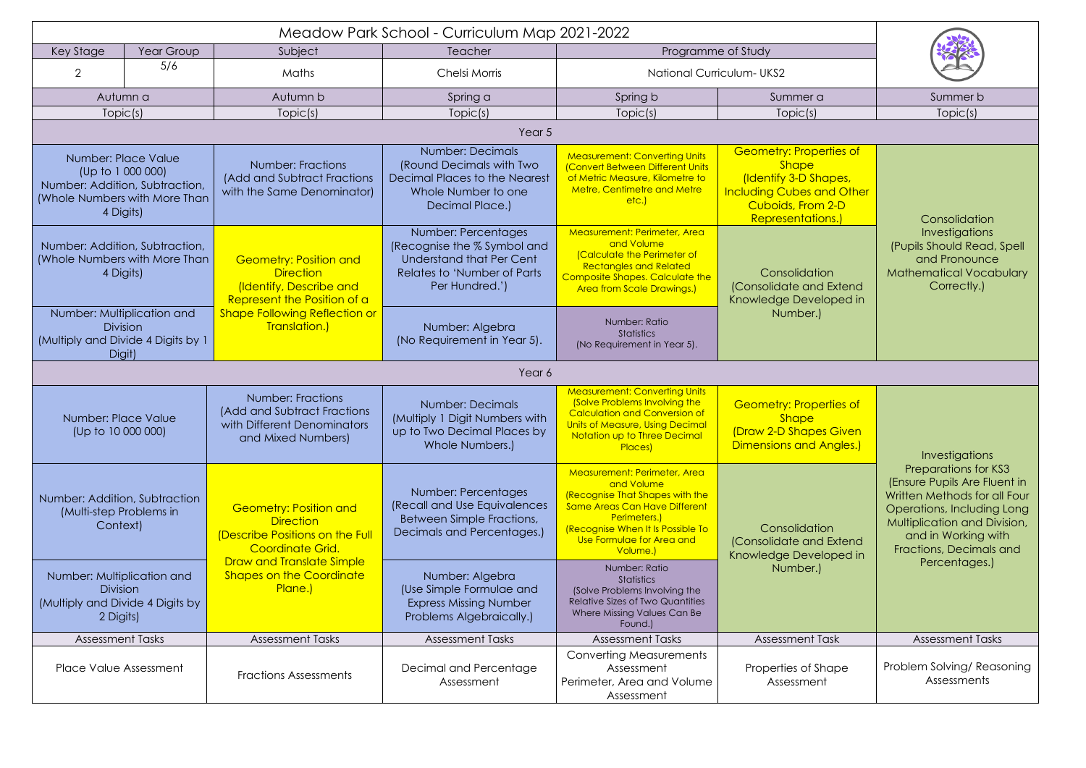| Key Stage                                                                                                                | Year Group | Subject                                                                                                      | Teacher                                                                                                                                       | Programme of Study                                                                                                                                                                                                  |                                                                                                                                                              |                                                                                                                                                                                                             |  |  |  |
|--------------------------------------------------------------------------------------------------------------------------|------------|--------------------------------------------------------------------------------------------------------------|-----------------------------------------------------------------------------------------------------------------------------------------------|---------------------------------------------------------------------------------------------------------------------------------------------------------------------------------------------------------------------|--------------------------------------------------------------------------------------------------------------------------------------------------------------|-------------------------------------------------------------------------------------------------------------------------------------------------------------------------------------------------------------|--|--|--|
| $\overline{2}$                                                                                                           | 5/6        | Maths                                                                                                        | Chelsi Morris                                                                                                                                 | <b>National Curriculum-UKS2</b>                                                                                                                                                                                     |                                                                                                                                                              |                                                                                                                                                                                                             |  |  |  |
| Autumn a                                                                                                                 |            | Autumn b                                                                                                     | Spring a                                                                                                                                      | Spring b                                                                                                                                                                                                            | Summer a                                                                                                                                                     | Summer b                                                                                                                                                                                                    |  |  |  |
| Topic(s)                                                                                                                 |            | Topic(s)                                                                                                     | Topic(s)                                                                                                                                      | Topic(s)                                                                                                                                                                                                            | Topic(s)                                                                                                                                                     | Topic(s)                                                                                                                                                                                                    |  |  |  |
| Year 5                                                                                                                   |            |                                                                                                              |                                                                                                                                               |                                                                                                                                                                                                                     |                                                                                                                                                              |                                                                                                                                                                                                             |  |  |  |
| Number: Place Value<br>(Up to 1 000 000)<br>Number: Addition, Subtraction,<br>(Whole Numbers with More Than<br>4 Digits) |            | <b>Number: Fractions</b><br>(Add and Subtract Fractions<br>with the Same Denominator)                        | <b>Number: Decimals</b><br>(Round Decimals with Two<br><b>Decimal Places to the Nearest</b><br>Whole Number to one<br>Decimal Place.)         | <b>Measurement: Converting Units</b><br>(Convert Between Different Units<br>of Metric Measure, Kilometre to<br><b>Metre, Centimetre and Metre</b><br>etc.)                                                          | <b>Geometry: Properties of</b><br><b>Shape</b><br>(Identify 3-D Shapes,<br><b>Including Cubes and Other</b><br>Cuboids, From 2-D<br><b>Representations.)</b> | Consolidation<br>Investigations<br>(Pupils Should Read, Spell<br>and Pronounce<br><b>Mathematical Vocabulary</b><br>Correctly.)                                                                             |  |  |  |
| Number: Addition, Subtraction,<br>(Whole Numbers with More Than<br>4 Digits)                                             |            | <b>Geometry: Position and</b><br><b>Direction</b><br>(Identify, Describe and<br>Represent the Position of a  | Number: Percentages<br>(Recognise the % Symbol and<br><b>Understand that Per Cent</b><br><b>Relates to 'Number of Parts</b><br>Per Hundred.') | Measurement: Perimeter, Area<br>and Volume<br>(Calculate the Perimeter of<br><b>Rectangles and Related</b><br>Composite Shapes. Calculate the<br><b>Area from Scale Drawings.)</b>                                  | Consolidation<br>(Consolidate and Extend<br>Knowledge Developed in<br>Number.)                                                                               |                                                                                                                                                                                                             |  |  |  |
| Number: Multiplication and<br><b>Division</b><br>(Multiply and Divide 4 Digits by 1<br>Digit)                            |            | <b>Shape Following Reflection or</b><br>Translation.)                                                        | Number: Algebra<br>(No Requirement in Year 5).                                                                                                | Number: Ratio<br>Statistics<br>(No Requirement in Year 5).                                                                                                                                                          |                                                                                                                                                              |                                                                                                                                                                                                             |  |  |  |
| Year 6                                                                                                                   |            |                                                                                                              |                                                                                                                                               |                                                                                                                                                                                                                     |                                                                                                                                                              |                                                                                                                                                                                                             |  |  |  |
| Number: Place Value<br>(Up to 10 000 000)                                                                                |            | <b>Number: Fractions</b><br>(Add and Subtract Fractions<br>with Different Denominators<br>and Mixed Numbers) | <b>Number: Decimals</b><br>(Multiply 1 Digit Numbers with<br>up to Two Decimal Places by<br>Whole Numbers.)                                   | <b>Measurement: Converting Units</b><br>(Solve Problems Involving the<br><b>Calculation and Conversion of</b><br>Units of Measure, Using Decimal<br>Notation up to Three Decimal<br>Places)                         | <b>Geometry: Properties of</b><br><b>Shape</b><br>(Draw 2-D Shapes Given<br><b>Dimensions and Angles.)</b>                                                   | Investigations                                                                                                                                                                                              |  |  |  |
| Number: Addition, Subtraction<br>(Multi-step Problems in<br>Context)                                                     |            | <b>Geometry: Position and</b><br><b>Direction</b><br>(Describe Positions on the Full<br>Coordinate Grid.     | Number: Percentages<br>(Recall and Use Equivalences<br><b>Between Simple Fractions,</b><br>Decimals and Percentages.)                         | Measurement: Perimeter, Area<br>and Volume<br>(Recognise That Shapes with the<br><b>Same Areas Can Have Different</b><br>Perimeters.)<br>(Recognise When It Is Possible To<br>Use Formulae for Area and<br>Volume.) | Consolidation<br>(Consolidate and Extend<br>Knowledge Developed in                                                                                           | <b>Preparations for KS3</b><br>(Ensure Pupils Are Fluent in<br>Written Methods for all Four<br>Operations, Including Long<br>Multiplication and Division,<br>and in Working with<br>Fractions, Decimals and |  |  |  |
| Number: Multiplication and<br><b>Division</b><br>(Multiply and Divide 4 Digits by<br>2 Digits)                           |            | <b>Draw and Translate Simple</b><br><b>Shapes on the Coordinate</b><br>Plane.)                               | Number: Algebra<br>(Use Simple Formulae and<br><b>Express Missing Number</b><br>Problems Algebraically.)                                      | Number: Ratio<br>Statistics<br>(Solve Problems Involving the<br>Relative Sizes of Two Quantities<br>Where Missing Values Can Be<br>Found.)                                                                          | Number.)                                                                                                                                                     | Percentages.)                                                                                                                                                                                               |  |  |  |
| <b>Assessment Tasks</b>                                                                                                  |            | <b>Assessment Tasks</b>                                                                                      | <b>Assessment Tasks</b>                                                                                                                       | <b>Assessment Tasks</b>                                                                                                                                                                                             | <b>Assessment Task</b>                                                                                                                                       | <b>Assessment Tasks</b>                                                                                                                                                                                     |  |  |  |
| <b>Place Value Assessment</b>                                                                                            |            | <b>Fractions Assessments</b>                                                                                 | Decimal and Percentage<br>Assessment                                                                                                          | <b>Converting Measurements</b><br>Assessment<br>Perimeter, Area and Volume<br>Assessment                                                                                                                            | Properties of Shape<br>Assessment                                                                                                                            | Problem Solving/ Reasoning<br>Assessments                                                                                                                                                                   |  |  |  |